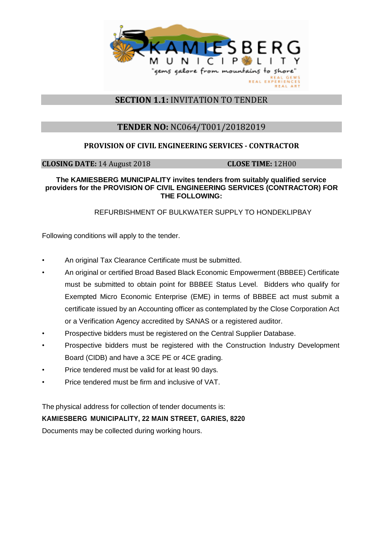

## **SECTION 1.1:** INVITATION TO TENDER

# **TENDER NO:** NC064/T001/20182019

## **PROVISION OF CIVIL ENGINEERING SERVICES - CONTRACTOR**

**CLOSING DATE:** 14 August 2018 **CLOSE TIME:** 12H00

#### **The KAMIESBERG MUNICIPALITY invites tenders from suitably qualified service providers for the PROVISION OF CIVIL ENGINEERING SERVICES (CONTRACTOR) FOR THE FOLLOWING:**

### REFURBISHMENT OF BULKWATER SUPPLY TO HONDEKLIPBAY

Following conditions will apply to the tender.

- An original Tax Clearance Certificate must be submitted.
- An original or certified Broad Based Black Economic Empowerment (BBBEE) Certificate must be submitted to obtain point for BBBEE Status Level. Bidders who qualify for Exempted Micro Economic Enterprise (EME) in terms of BBBEE act must submit a certificate issued by an Accounting officer as contemplated by the Close Corporation Act or a Verification Agency accredited by SANAS or a registered auditor.
- Prospective bidders must be registered on the Central Supplier Database.
- Prospective bidders must be registered with the Construction Industry Development Board (CIDB) and have a 3CE PE or 4CE grading.
- Price tendered must be valid for at least 90 days.
- Price tendered must be firm and inclusive of VAT.

The physical address for collection of tender documents is:

### **KAMIESBERG MUNICIPALITY, 22 MAIN STREET, GARIES, 8220**

Documents may be collected during working hours.